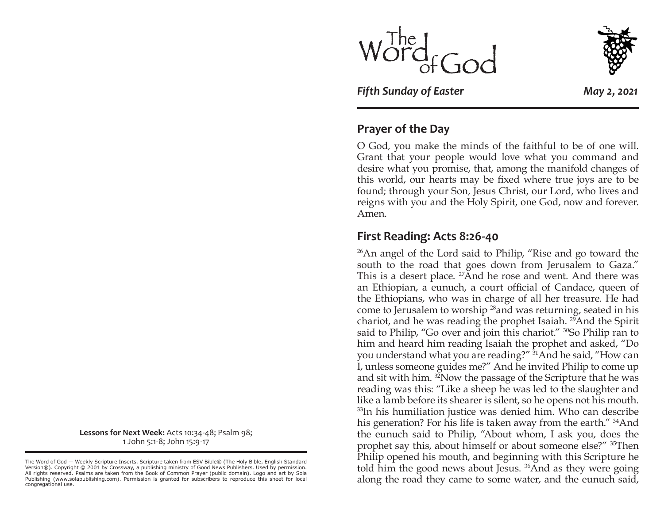



*Fifth Sunday of Easter May 2, 2021*

### **Prayer of the Day**

O God, you make the minds of the faithful to be of one will. Grant that your people would love what you command and desire what you promise, that, among the manifold changes of this world, our hearts may be fixed where true joys are to be found; through your Son, Jesus Christ, our Lord, who lives and reigns with you and the Holy Spirit, one God, now and forever. Amen.

#### **First Reading: Acts 8:26-40**

26An angel of the Lord said to Philip, "Rise and go toward the south to the road that goes down from Jerusalem to Gaza." This is a desert place. <sup>27</sup>And he rose and went. And there was an Ethiopian, a eunuch, a court official of Candace, queen of the Ethiopians, who was in charge of all her treasure. He had come to Jerusalem to worship 28and was returning, seated in his chariot, and he was reading the prophet Isaiah. 29And the Spirit said to Philip, "Go over and join this chariot." <sup>30</sup>So Philip ran to him and heard him reading Isaiah the prophet and asked, "Do you understand what you are reading?" 31And he said, "How can I, unless someone guides me?" And he invited Philip to come up and sit with him. 32Now the passage of the Scripture that he was reading was this: "Like a sheep he was led to the slaughter and like a lamb before its shearer is silent, so he opens not his mouth. <sup>33</sup>In his humiliation justice was denied him. Who can describe his generation? For his life is taken away from the earth." <sup>34</sup>And the eunuch said to Philip, "About whom, I ask you, does the prophet say this, about himself or about someone else?" 35Then Philip opened his mouth, and beginning with this Scripture he told him the good news about Jesus. 36And as they were going along the road they came to some water, and the eunuch said,

**Lessons for Next Week:** Acts 10:34-48; Psalm 98; 1 John 5:1-8; John 15:9-17

The Word of God — Weekly Scripture Inserts. Scripture taken from ESV Bible® (The Holy Bible, English Standard Version®). Copyright © 2001 by Crossway, a publishing ministry of Good News Publishers. Used by permission. All rights reserved. Psalms are taken from the Book of Common Prayer (public domain). Logo and art by Sola Publishing (www.solapublishing.com). Permission is granted for subscribers to reproduce this sheet for local congregational use.